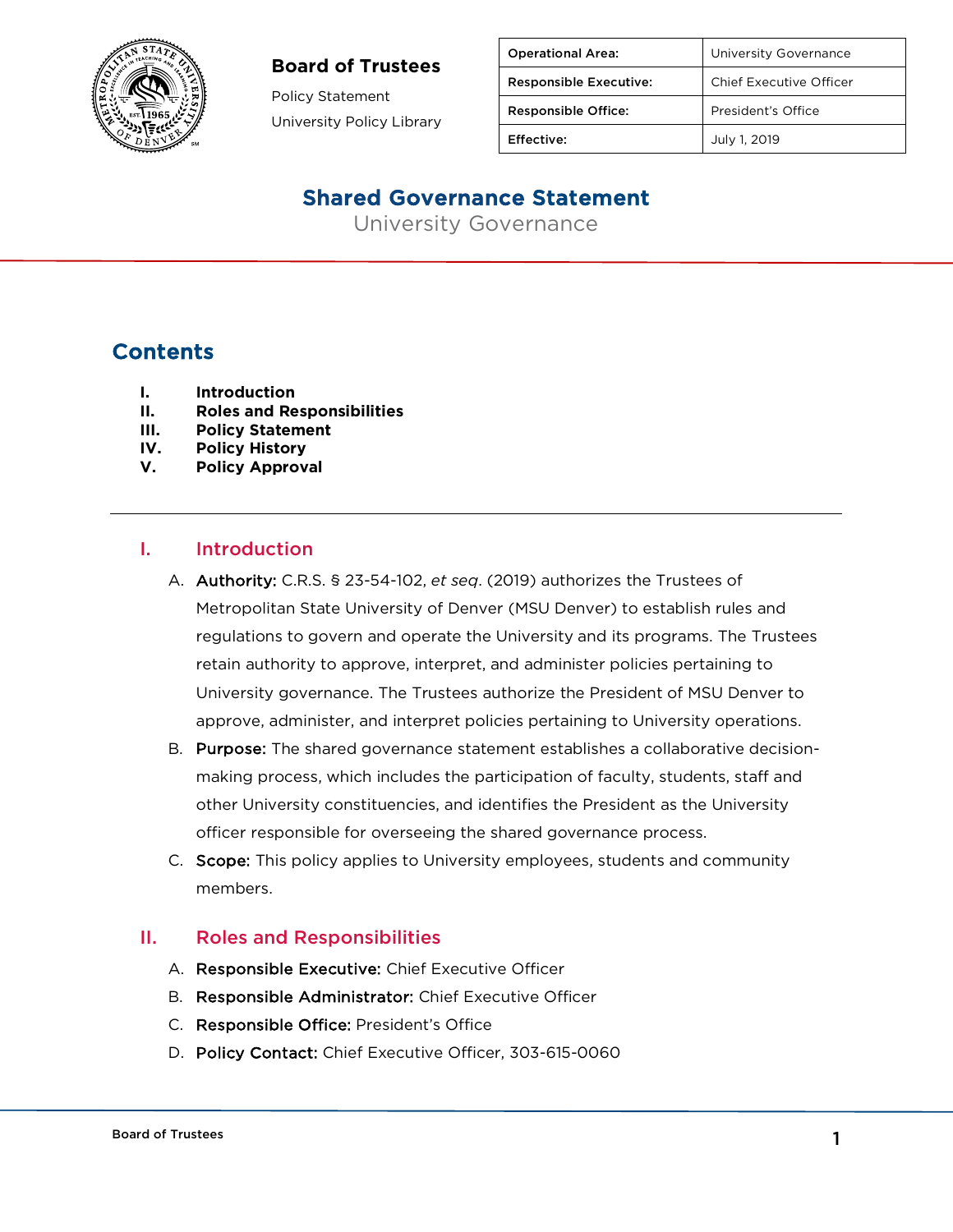

#### **Board of Trustees**

Policy Statement University Policy Library

| <b>Operational Area:</b>      | University Governance   |
|-------------------------------|-------------------------|
| <b>Responsible Executive:</b> | Chief Executive Officer |
| <b>Responsible Office:</b>    | President's Office      |
| Effective:                    | July 1, 2019            |

## Shared Governance Statement

University Governance

## **Contents**

- **I. Introduction**
- **II. Roles and Responsibilities**
- **III. Policy Statement**
- **IV. Policy History**
- **V. Policy Approval**

#### I. Introduction

- A. Authority: C.R.S. § 23-54-102, *et seq*. (2019) authorizes the Trustees of Metropolitan State University of Denver (MSU Denver) to establish rules and regulations to govern and operate the University and its programs. The Trustees retain authority to approve, interpret, and administer policies pertaining to University governance. The Trustees authorize the President of MSU Denver to approve, administer, and interpret policies pertaining to University operations.
- B. Purpose: The shared governance statement establishes a collaborative decisionmaking process, which includes the participation of faculty, students, staff and other University constituencies, and identifies the President as the University officer responsible for overseeing the shared governance process.
- C. Scope: This policy applies to University employees, students and community members.

### II. Roles and Responsibilities

- A. Responsible Executive: Chief Executive Officer
- B. Responsible Administrator: Chief Executive Officer
- C. Responsible Office: President's Office
- D. Policy Contact: Chief Executive Officer, 303-615-0060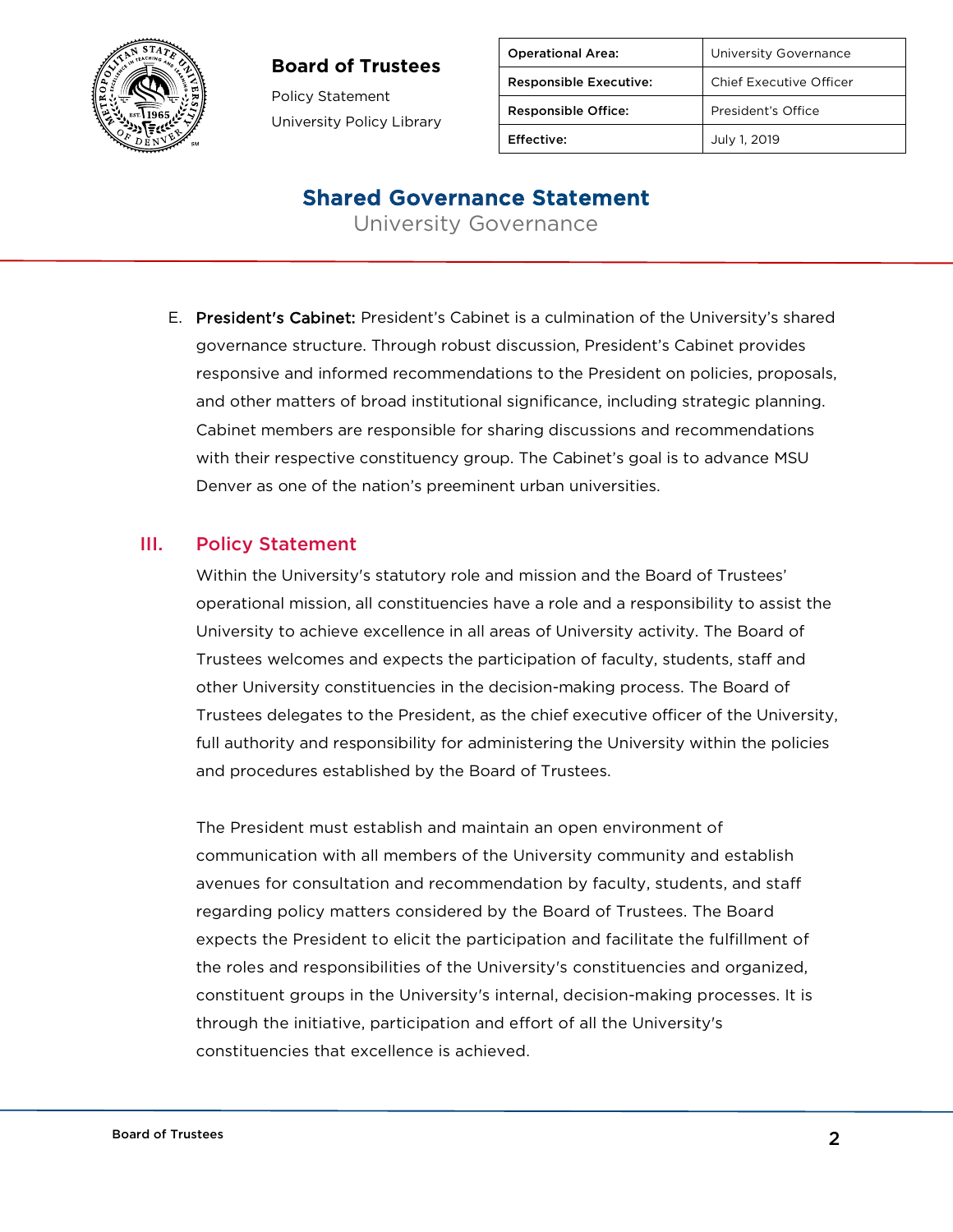### **Board of Trustees**



Policy Statement University Policy Library

| <b>Operational Area:</b>      | University Governance   |
|-------------------------------|-------------------------|
| <b>Responsible Executive:</b> | Chief Executive Officer |
| <b>Responsible Office:</b>    | President's Office      |
| Effective:                    | July 1, 2019            |

## Shared Governance Statement

University Governance

E. President's Cabinet: President's Cabinet is a culmination of the University's shared governance structure. Through robust discussion, President's Cabinet provides responsive and informed recommendations to the President on policies, proposals, and other matters of broad institutional significance, including strategic planning. Cabinet members are responsible for sharing discussions and recommendations with their respective constituency group. The Cabinet's goal is to advance MSU Denver as one of the nation's preeminent urban universities.

#### III. Policy Statement

Within the University's statutory role and mission and the Board of Trustees' operational mission, all constituencies have a role and a responsibility to assist the University to achieve excellence in all areas of University activity. The Board of Trustees welcomes and expects the participation of faculty, students, staff and other University constituencies in the decision-making process. The Board of Trustees delegates to the President, as the chief executive officer of the University, full authority and responsibility for administering the University within the policies and procedures established by the Board of Trustees.

The President must establish and maintain an open environment of communication with all members of the University community and establish avenues for consultation and recommendation by faculty, students, and staff regarding policy matters considered by the Board of Trustees. The Board expects the President to elicit the participation and facilitate the fulfillment of the roles and responsibilities of the University's constituencies and organized, constituent groups in the University's internal, decision-making processes. It is through the initiative, participation and effort of all the University's constituencies that excellence is achieved.